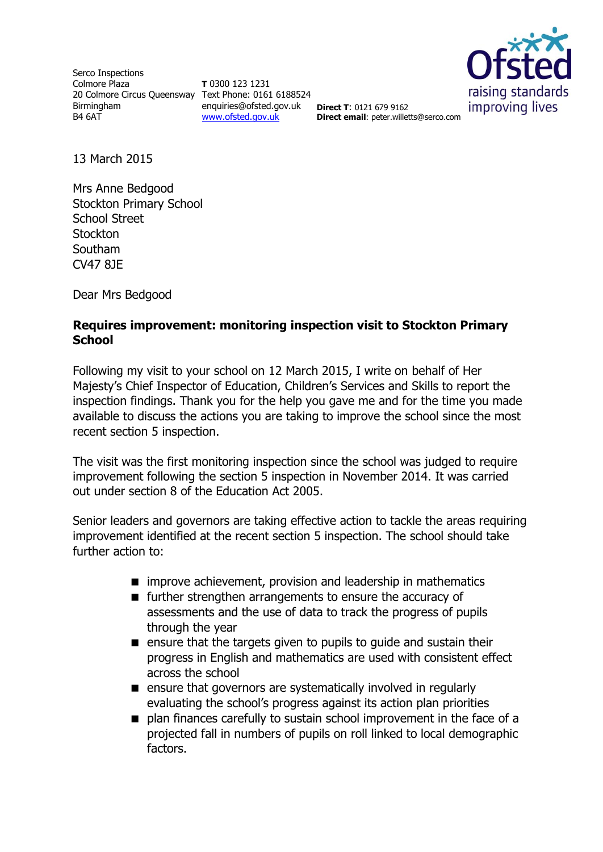Serco Inspections Colmore Plaza 20 Colmore Circus Queensway Text Phone: 0161 6188524 Birmingham B4 6AT

**T** 0300 123 1231 enquiries@ofsted.gov.uk **Direct T**: 0121 679 9162 [www.ofsted.gov.uk](http://www.ofsted.gov.uk/)



**Direct email**: peter.willetts@serco.com

13 March 2015

Mrs Anne Bedgood Stockton Primary School School Street **Stockton** Southam CV47 8JE

Dear Mrs Bedgood

### **Requires improvement: monitoring inspection visit to Stockton Primary School**

Following my visit to your school on 12 March 2015, I write on behalf of Her Majesty's Chief Inspector of Education, Children's Services and Skills to report the inspection findings. Thank you for the help you gave me and for the time you made available to discuss the actions you are taking to improve the school since the most recent section 5 inspection.

The visit was the first monitoring inspection since the school was judged to require improvement following the section 5 inspection in November 2014. It was carried out under section 8 of the Education Act 2005.

Senior leaders and governors are taking effective action to tackle the areas requiring improvement identified at the recent section 5 inspection. The school should take further action to:

- $\blacksquare$  improve achievement, provision and leadership in mathematics
- $\blacksquare$  further strengthen arrangements to ensure the accuracy of assessments and the use of data to track the progress of pupils through the year
- **E** ensure that the targets given to pupils to guide and sustain their progress in English and mathematics are used with consistent effect across the school
- ensure that governors are systematically involved in regularly evaluating the school's progress against its action plan priorities
- plan finances carefully to sustain school improvement in the face of a projected fall in numbers of pupils on roll linked to local demographic factors.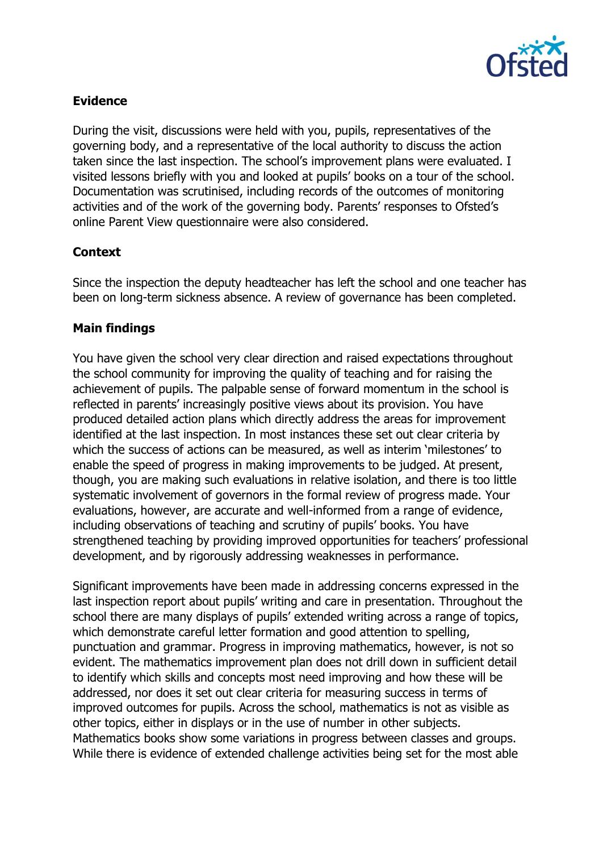

## **Evidence**

During the visit, discussions were held with you, pupils, representatives of the governing body, and a representative of the local authority to discuss the action taken since the last inspection. The school's improvement plans were evaluated. I visited lessons briefly with you and looked at pupils' books on a tour of the school. Documentation was scrutinised, including records of the outcomes of monitoring activities and of the work of the governing body. Parents' responses to Ofsted's online Parent View questionnaire were also considered.

### **Context**

Since the inspection the deputy headteacher has left the school and one teacher has been on long-term sickness absence. A review of governance has been completed.

# **Main findings**

You have given the school very clear direction and raised expectations throughout the school community for improving the quality of teaching and for raising the achievement of pupils. The palpable sense of forward momentum in the school is reflected in parents' increasingly positive views about its provision. You have produced detailed action plans which directly address the areas for improvement identified at the last inspection. In most instances these set out clear criteria by which the success of actions can be measured, as well as interim 'milestones' to enable the speed of progress in making improvements to be judged. At present, though, you are making such evaluations in relative isolation, and there is too little systematic involvement of governors in the formal review of progress made. Your evaluations, however, are accurate and well-informed from a range of evidence, including observations of teaching and scrutiny of pupils' books. You have strengthened teaching by providing improved opportunities for teachers' professional development, and by rigorously addressing weaknesses in performance.

Significant improvements have been made in addressing concerns expressed in the last inspection report about pupils' writing and care in presentation. Throughout the school there are many displays of pupils' extended writing across a range of topics, which demonstrate careful letter formation and good attention to spelling, punctuation and grammar. Progress in improving mathematics, however, is not so evident. The mathematics improvement plan does not drill down in sufficient detail to identify which skills and concepts most need improving and how these will be addressed, nor does it set out clear criteria for measuring success in terms of improved outcomes for pupils. Across the school, mathematics is not as visible as other topics, either in displays or in the use of number in other subjects. Mathematics books show some variations in progress between classes and groups. While there is evidence of extended challenge activities being set for the most able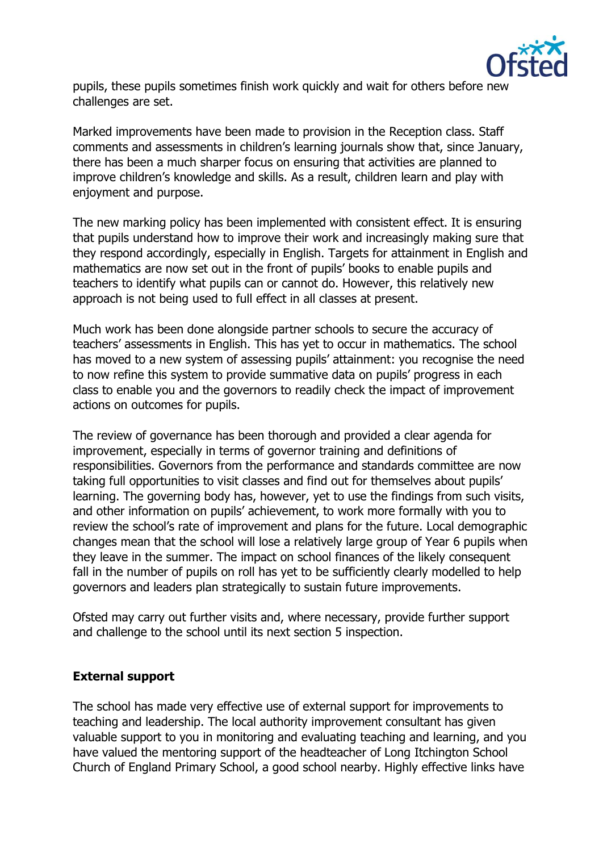

pupils, these pupils sometimes finish work quickly and wait for others before new challenges are set.

Marked improvements have been made to provision in the Reception class. Staff comments and assessments in children's learning journals show that, since January, there has been a much sharper focus on ensuring that activities are planned to improve children's knowledge and skills. As a result, children learn and play with enjoyment and purpose.

The new marking policy has been implemented with consistent effect. It is ensuring that pupils understand how to improve their work and increasingly making sure that they respond accordingly, especially in English. Targets for attainment in English and mathematics are now set out in the front of pupils' books to enable pupils and teachers to identify what pupils can or cannot do. However, this relatively new approach is not being used to full effect in all classes at present.

Much work has been done alongside partner schools to secure the accuracy of teachers' assessments in English. This has yet to occur in mathematics. The school has moved to a new system of assessing pupils' attainment: you recognise the need to now refine this system to provide summative data on pupils' progress in each class to enable you and the governors to readily check the impact of improvement actions on outcomes for pupils.

The review of governance has been thorough and provided a clear agenda for improvement, especially in terms of governor training and definitions of responsibilities. Governors from the performance and standards committee are now taking full opportunities to visit classes and find out for themselves about pupils' learning. The governing body has, however, yet to use the findings from such visits, and other information on pupils' achievement, to work more formally with you to review the school's rate of improvement and plans for the future. Local demographic changes mean that the school will lose a relatively large group of Year 6 pupils when they leave in the summer. The impact on school finances of the likely consequent fall in the number of pupils on roll has yet to be sufficiently clearly modelled to help governors and leaders plan strategically to sustain future improvements.

Ofsted may carry out further visits and, where necessary, provide further support and challenge to the school until its next section 5 inspection.

### **External support**

The school has made very effective use of external support for improvements to teaching and leadership. The local authority improvement consultant has given valuable support to you in monitoring and evaluating teaching and learning, and you have valued the mentoring support of the headteacher of Long Itchington School Church of England Primary School, a good school nearby. Highly effective links have